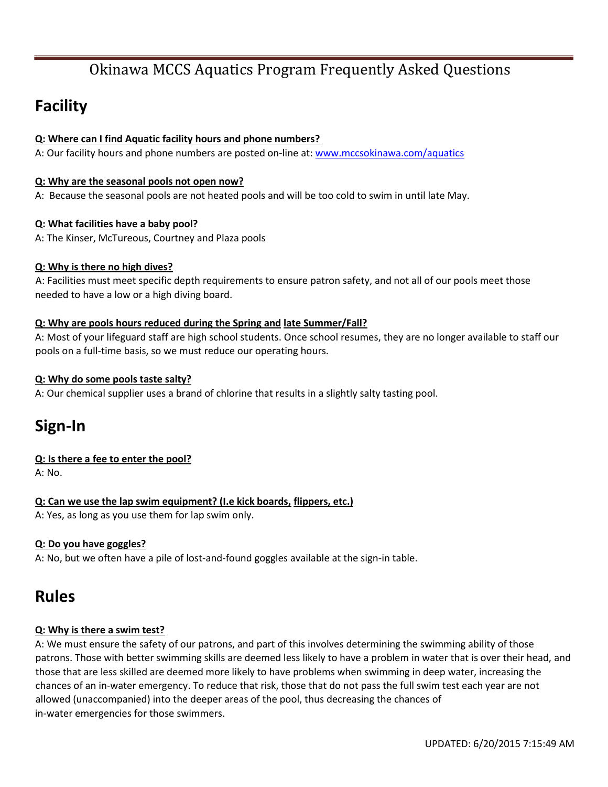# **Facility**

### **Q: Where can I find Aquatic facility hours and phone numbers?**

A: Our facility hours and phone numbers are posted on-line at: www.mccsokinawa.com/aquatics

#### **Q: Why are the seasonal pools not open now?**

A: Because the seasonal pools are not heated pools and will be too cold to swim in until late May.

### **Q: What facilities have a baby pool?**

A: The Kinser, McTureous, Courtney and Plaza pools

### **Q: Why is there no high dives?**

A: Facilities must meet specific depth requirements to ensure patron safety, and not all of our pools meet those needed to have a low or a high diving board.

### **Q: Why are pools hours reduced during the Spring and late Summer/Fall?**

A: Most of your lifeguard staff are high school students. Once school resumes, they are no longer available to staff our pools on a full‐time basis, so we must reduce our operating hours.

### **Q: Why do some pools taste salty?**

A: Our chemical supplier uses a brand of chlorine that results in a slightly salty tasting pool.

# **Sign‐In**

## **Q: Is there a fee to enter the pool?**

A: No.

### **Q: Can we use the lap swim equipment? (I.e kick boards, flippers, etc.)** A: Yes, as long as you use them for lap swim only.

### **Q: Do you have goggles?**

A: No, but we often have a pile of lost-and-found goggles available at the sign-in table.

## **Rules**

### **Q: Why is there a swim test?**

A: We must ensure the safety of our patrons, and part of this involves determining the swimming ability of those patrons. Those with better swimming skills are deemed less likely to have a problem in water that is over their head, and those that are less skilled are deemed more likely to have problems when swimming in deep water, increasing the chances of an in‐water emergency. To reduce that risk, those that do not pass the full swim test each year are not allowed (unaccompanied) into the deeper areas of the pool, thus decreasing the chances of in‐water emergencies for those swimmers.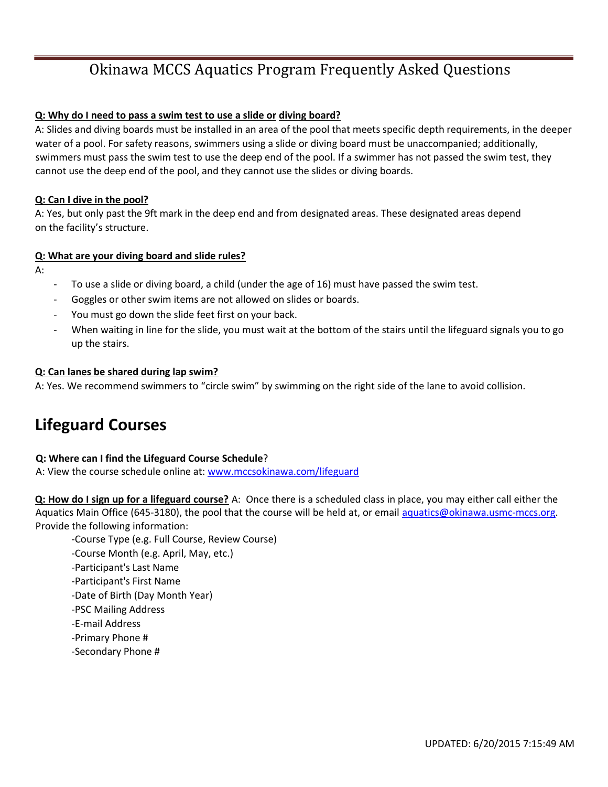### **Q: Why do I need to pass a swim test to use a slide or diving board?**

A: Slides and diving boards must be installed in an area of the pool that meets specific depth requirements, in the deeper water of a pool. For safety reasons, swimmers using a slide or diving board must be unaccompanied; additionally, swimmers must pass the swim test to use the deep end of the pool. If a swimmer has not passed the swim test, they cannot use the deep end of the pool, and they cannot use the slides or diving boards.

### **Q: Can I dive in the pool?**

A: Yes, but only past the 9ft mark in the deep end and from designated areas. These designated areas depend on the facility's structure.

### **Q: What are your diving board and slide rules?**

A:

- To use a slide or diving board, a child (under the age of 16) must have passed the swim test.
- ‐ Goggles or other swim items are not allowed on slides or boards.
- You must go down the slide feet first on your back.
- When waiting in line for the slide, you must wait at the bottom of the stairs until the lifeguard signals you to go up the stairs.

### **Q: Can lanes be shared during lap swim?**

A: Yes. We recommend swimmers to "circle swim" by swimming on the right side of the lane to avoid collision.

# **Lifeguard Courses**

### **Q: Where can I find the Lifeguard Course Schedule**?

A: View the course schedule online at: www.mccsokinawa.com/lifeguard

**Q: How do I sign up for a lifeguard course?** A: Once there is a scheduled class in place, you may either call either the Aquatics Main Office (645-3180), the pool that the course will be held at, or email aquatics@okinawa.usmc-mccs.org. Provide the following information:

‐Course Type (e.g. Full Course, Review Course) ‐Course Month (e.g. April, May, etc.) ‐Participant's Last Name ‐Participant's First Name ‐Date of Birth (Day Month Year) ‐PSC Mailing Address ‐E‐mail Address ‐Primary Phone # ‐Secondary Phone #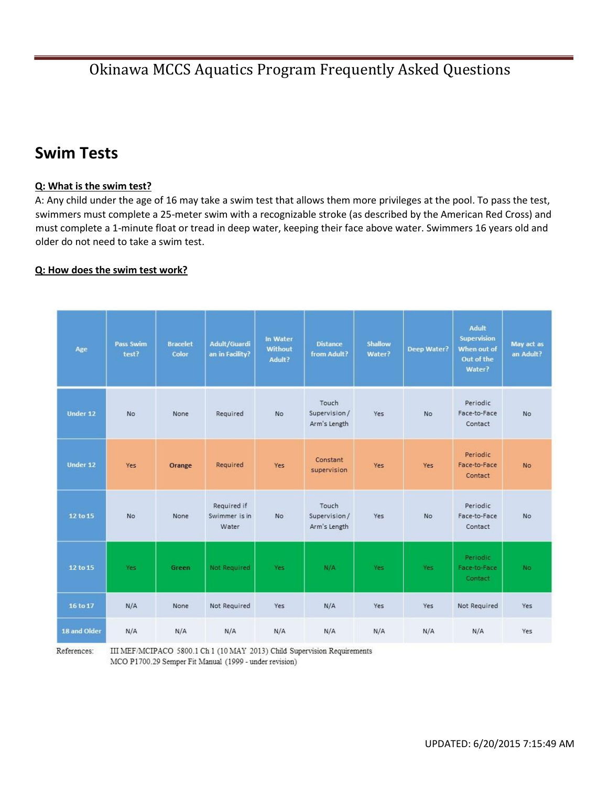# **Swim Tests**

### **Q: What is the swim test?**

A: Any child under the age of 16 may take a swim test that allows them more privileges at the pool. To pass the test, swimmers must complete a 25-meter swim with a recognizable stroke (as described by the American Red Cross) and must complete a 1-minute float or tread in deep water, keeping their face above water. Swimmers 16 years old and older do not need to take a swim test.

### **Q: How does the swim test work?**

| Age          | Pass Swim<br>test? | <b>Bracelet</b><br>Color | Adult/Guardi<br>an in Facility?       | In Water<br><b>Without</b><br>Adult? | <b>Distance</b><br>from Adult?         | Shallow<br>Water? | <b>Deep Water?</b> | Adult<br>Supervision<br>When out of<br>Out of the<br>Water? | May act as<br>an Adult? |
|--------------|--------------------|--------------------------|---------------------------------------|--------------------------------------|----------------------------------------|-------------------|--------------------|-------------------------------------------------------------|-------------------------|
| Under 12     | <b>No</b>          | None                     | Required                              | No                                   | Touch<br>Supervision /<br>Arm's Length | Yes               | <b>No</b>          | Periodic<br>Face-to-Face<br>Contact                         | No                      |
| Under 12     | Yes                | Orange                   | Required                              | Yes                                  | Constant<br>supervision                | Yes               | Yes                | Periodic<br>Face-to-Face<br>Contact                         | <b>No</b>               |
| 12 to 15     | No                 | None                     | Required if<br>Swimmer is in<br>Water | <b>No</b>                            | Touch<br>Supervision/<br>Arm's Length  | Yes               | <b>No</b>          | Periodic<br>Face-to-Face<br>Contact                         | <b>No</b>               |
| 12 to 15     | Yes                | Green                    | Not Required                          | Yes                                  | N/A                                    | Yes               | Yes                | Periodic<br>Face-to-Face<br>Contact                         | <b>No</b>               |
| 16 to 17     | N/A                | None                     | Not Required                          | Yes                                  | N/A                                    | Yes               | Yes                | Not Required                                                | Yes                     |
| 18 and Older | N/A                | N/A                      | N/A                                   | N/A                                  | N/A                                    | N/A               | N/A                | N/A                                                         | Yes                     |

References:

III MEF/MCIPACO 5800.1 Ch 1 (10 MAY 2013) Child Supervision Requirements MCO P1700.29 Semper Fit Manual (1999 - under revision)